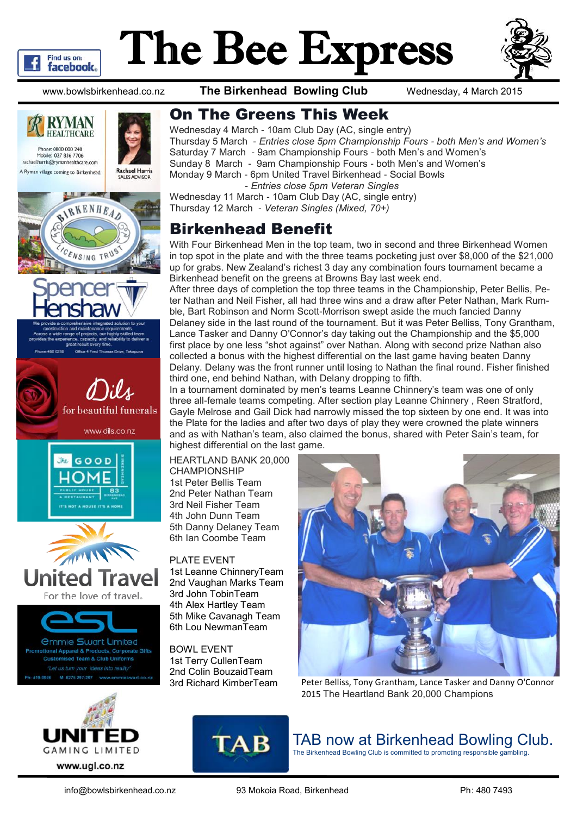

# The Bee Express



www.bowlsbirkenhead.co.nz **The Birkenhead Bowling Club** Wednesday, 4 March 2015





#### On The Greens This Week

Wednesday 4 March - 10am Club Day (AC, single entry) Thursday 5 March - *Entries close 5pm Championship Fours - both Men's and Women's* Saturday 7 March - 9am Championship Fours - both Men's and Women's Sunday 8 March - 9am Championship Fours - both Men's and Women's Monday 9 March - 6pm United Travel Birkenhead - Social Bowls - *Entries close 5pm Veteran Singles*

Wednesday 11 March - 10am Club Day (AC, single entry) Thursday 12 March - *Veteran Singles (Mixed, 70+)*

### Birkenhead Benefit

With Four Birkenhead Men in the top team, two in second and three Birkenhead Women in top spot in the plate and with the three teams pocketing just over \$8,000 of the \$21,000 up for grabs. New Zealand's richest 3 day any combination fours tournament became a Birkenhead benefit on the greens at Browns Bay last week end.

After three days of completion the top three teams in the Championship, Peter Bellis, Peter Nathan and Neil Fisher, all had three wins and a draw after Peter Nathan, Mark Rumble, Bart Robinson and Norm Scott-Morrison swept aside the much fancied Danny Delaney side in the last round of the tournament. But it was Peter Belliss, Tony Grantham, Lance Tasker and Danny O'Connor's day taking out the Championship and the \$5,000 first place by one less "shot against" over Nathan. Along with second prize Nathan also collected a bonus with the highest differential on the last game having beaten Danny Delany. Delany was the front runner until losing to Nathan the final round. Fisher finished third one, end behind Nathan, with Delany dropping to fifth.

In a tournament dominated by men's teams Leanne Chinnery's team was one of only three all-female teams competing. After section play Leanne Chinnery , Reen Stratford, Gayle Melrose and Gail Dick had narrowly missed the top sixteen by one end. It was into the Plate for the ladies and after two days of play they were crowned the plate winners and as with Nathan's team, also claimed the bonus, shared with Peter Sain's team, for highest differential on the last game.

HEARTLAND BANK 20,000 CHAMPIONSHIP 1st Peter Bellis Team 2nd Peter Nathan Team 3rd Neil Fisher Team 4th John Dunn Team 5th Danny Delaney Team 6th Ian Coombe Team

PLATE EVENT 1st Leanne ChinneryTeam 2nd Vaughan Marks Team 3rd John TobinTeam 4th Alex Hartley Team 5th Mike Cavanagh Team 6th Lou NewmanTeam

BOWL EVENT 1st Terry CullenTeam 2nd Colin BouzaidTeam



3rd Richard KimberTeam Peter Belliss, Tony Grantham, Lance Tasker and Danny O'Connor 2015 The Heartland Bank 20,000 Champions



**TAB** 

## TAB now at Birkenhead Bowling Club.

The Birkenhead Bowling Club is committed to promoting responsible gambling.